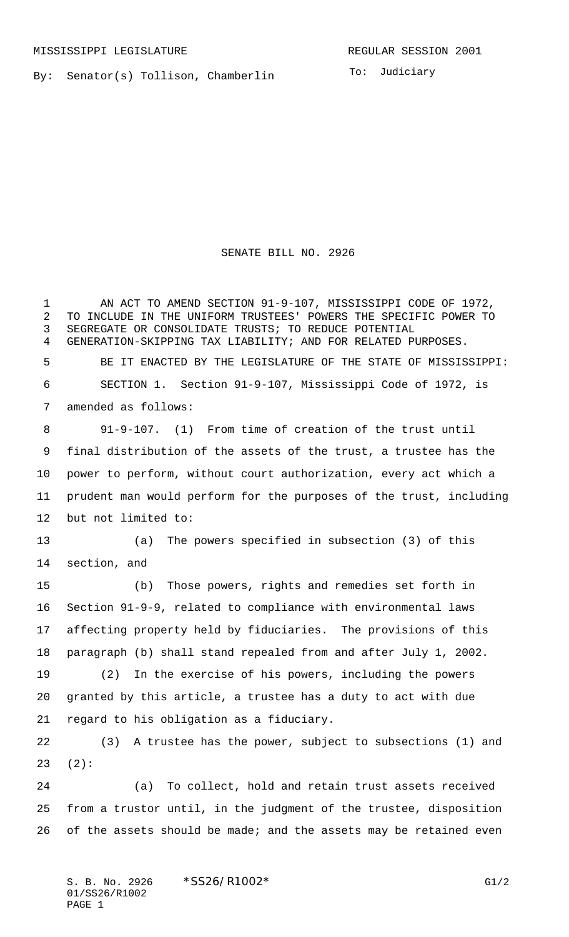By: Senator(s) Tollison, Chamberlin

To: Judiciary

SENATE BILL NO. 2926

1 AN ACT TO AMEND SECTION 91-9-107, MISSISSIPPI CODE OF 1972, TO INCLUDE IN THE UNIFORM TRUSTEES' POWERS THE SPECIFIC POWER TO SEGREGATE OR CONSOLIDATE TRUSTS; TO REDUCE POTENTIAL GENERATION-SKIPPING TAX LIABILITY; AND FOR RELATED PURPOSES. BE IT ENACTED BY THE LEGISLATURE OF THE STATE OF MISSISSIPPI: SECTION 1. Section 91-9-107, Mississippi Code of 1972, is amended as follows: 91-9-107. (1) From time of creation of the trust until final distribution of the assets of the trust, a trustee has the power to perform, without court authorization, every act which a prudent man would perform for the purposes of the trust, including but not limited to: (a) The powers specified in subsection (3) of this section, and (b) Those powers, rights and remedies set forth in Section 91-9-9, related to compliance with environmental laws affecting property held by fiduciaries. The provisions of this paragraph (b) shall stand repealed from and after July 1, 2002. (2) In the exercise of his powers, including the powers granted by this article, a trustee has a duty to act with due regard to his obligation as a fiduciary. (3) A trustee has the power, subject to subsections (1) and (2): (a) To collect, hold and retain trust assets received from a trustor until, in the judgment of the trustee, disposition

26 of the assets should be made; and the assets may be retained even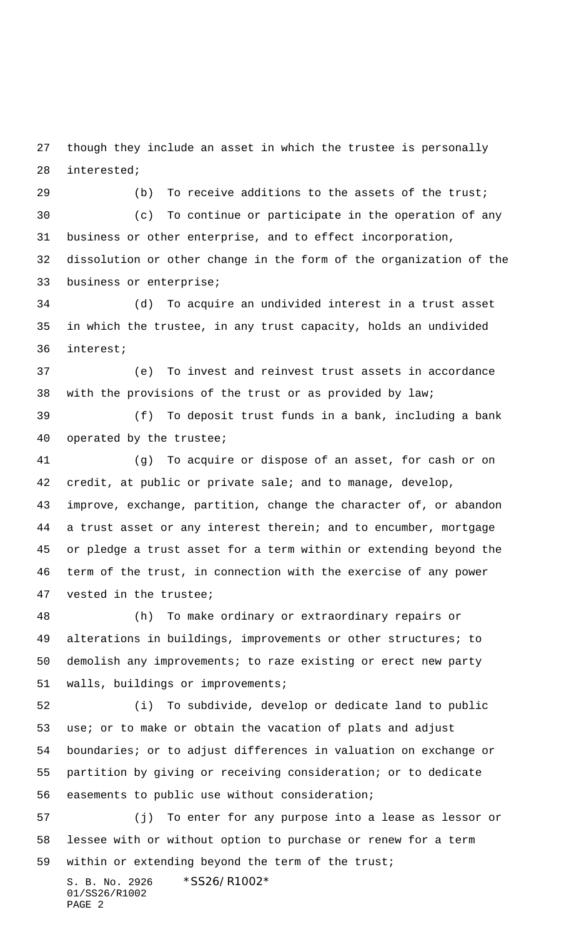though they include an asset in which the trustee is personally interested;

29 (b) To receive additions to the assets of the trust;

 (c) To continue or participate in the operation of any business or other enterprise, and to effect incorporation, dissolution or other change in the form of the organization of the business or enterprise;

 (d) To acquire an undivided interest in a trust asset in which the trustee, in any trust capacity, holds an undivided interest;

 (e) To invest and reinvest trust assets in accordance with the provisions of the trust or as provided by law;

 (f) To deposit trust funds in a bank, including a bank operated by the trustee;

 (g) To acquire or dispose of an asset, for cash or on credit, at public or private sale; and to manage, develop, improve, exchange, partition, change the character of, or abandon a trust asset or any interest therein; and to encumber, mortgage or pledge a trust asset for a term within or extending beyond the term of the trust, in connection with the exercise of any power vested in the trustee;

 (h) To make ordinary or extraordinary repairs or alterations in buildings, improvements or other structures; to demolish any improvements; to raze existing or erect new party walls, buildings or improvements;

 (i) To subdivide, develop or dedicate land to public use; or to make or obtain the vacation of plats and adjust boundaries; or to adjust differences in valuation on exchange or partition by giving or receiving consideration; or to dedicate easements to public use without consideration;

 (j) To enter for any purpose into a lease as lessor or lessee with or without option to purchase or renew for a term within or extending beyond the term of the trust;

S. B. No. 2926 \*SS26/R1002\* 01/SS26/R1002 PAGE 2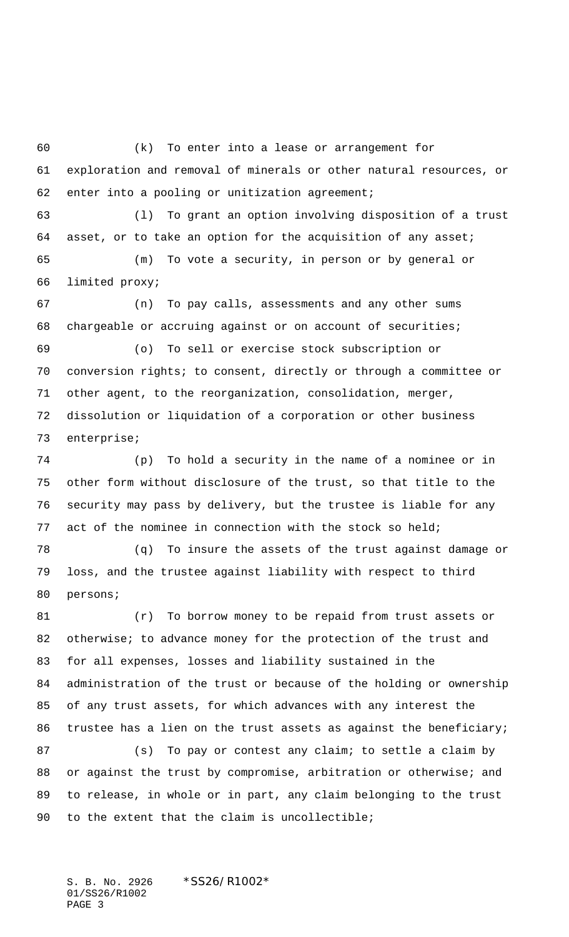(k) To enter into a lease or arrangement for exploration and removal of minerals or other natural resources, or enter into a pooling or unitization agreement;

 (l) To grant an option involving disposition of a trust asset, or to take an option for the acquisition of any asset; (m) To vote a security, in person or by general or

limited proxy;

 (n) To pay calls, assessments and any other sums chargeable or accruing against or on account of securities;

 (o) To sell or exercise stock subscription or conversion rights; to consent, directly or through a committee or other agent, to the reorganization, consolidation, merger, dissolution or liquidation of a corporation or other business enterprise;

 (p) To hold a security in the name of a nominee or in other form without disclosure of the trust, so that title to the security may pass by delivery, but the trustee is liable for any act of the nominee in connection with the stock so held;

 (q) To insure the assets of the trust against damage or loss, and the trustee against liability with respect to third persons;

 (r) To borrow money to be repaid from trust assets or 82 otherwise; to advance money for the protection of the trust and for all expenses, losses and liability sustained in the administration of the trust or because of the holding or ownership of any trust assets, for which advances with any interest the trustee has a lien on the trust assets as against the beneficiary;

87 (s) To pay or contest any claim; to settle a claim by 88 or against the trust by compromise, arbitration or otherwise; and to release, in whole or in part, any claim belonging to the trust 90 to the extent that the claim is uncollectible;

S. B. No. 2926 \*SS26/R1002\* 01/SS26/R1002 PAGE 3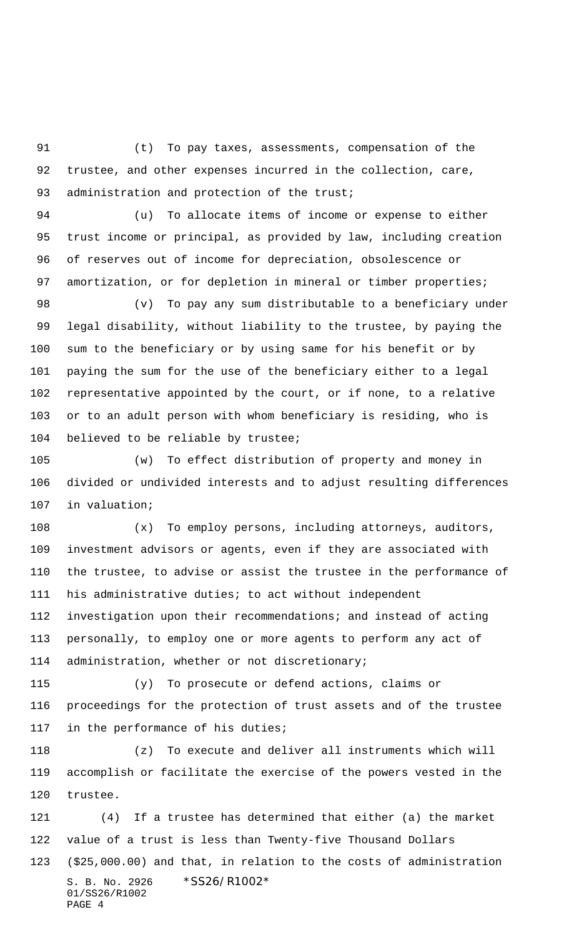(t) To pay taxes, assessments, compensation of the trustee, and other expenses incurred in the collection, care, 93 administration and protection of the trust;

 (u) To allocate items of income or expense to either trust income or principal, as provided by law, including creation of reserves out of income for depreciation, obsolescence or 97 amortization, or for depletion in mineral or timber properties;

 (v) To pay any sum distributable to a beneficiary under legal disability, without liability to the trustee, by paying the sum to the beneficiary or by using same for his benefit or by paying the sum for the use of the beneficiary either to a legal representative appointed by the court, or if none, to a relative or to an adult person with whom beneficiary is residing, who is believed to be reliable by trustee;

 (w) To effect distribution of property and money in divided or undivided interests and to adjust resulting differences in valuation;

 (x) To employ persons, including attorneys, auditors, investment advisors or agents, even if they are associated with the trustee, to advise or assist the trustee in the performance of his administrative duties; to act without independent investigation upon their recommendations; and instead of acting personally, to employ one or more agents to perform any act of administration, whether or not discretionary;

 (y) To prosecute or defend actions, claims or proceedings for the protection of trust assets and of the trustee in the performance of his duties;

 (z) To execute and deliver all instruments which will accomplish or facilitate the exercise of the powers vested in the trustee.

S. B. No. 2926 \*SS26/R1002\* 01/SS26/R1002 PAGE 4 (4) If a trustee has determined that either (a) the market value of a trust is less than Twenty-five Thousand Dollars (\$25,000.00) and that, in relation to the costs of administration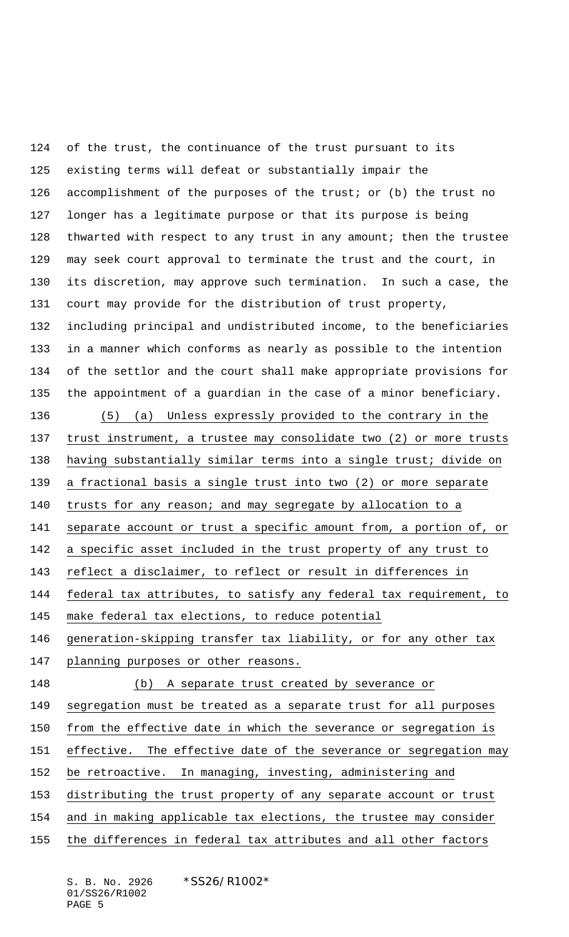of the trust, the continuance of the trust pursuant to its existing terms will defeat or substantially impair the 126 accomplishment of the purposes of the trust; or (b) the trust no longer has a legitimate purpose or that its purpose is being 128 thwarted with respect to any trust in any amount; then the trustee may seek court approval to terminate the trust and the court, in its discretion, may approve such termination. In such a case, the court may provide for the distribution of trust property, including principal and undistributed income, to the beneficiaries in a manner which conforms as nearly as possible to the intention of the settlor and the court shall make appropriate provisions for the appointment of a guardian in the case of a minor beneficiary. (5) (a) Unless expressly provided to the contrary in the trust instrument, a trustee may consolidate two (2) or more trusts having substantially similar terms into a single trust; divide on a fractional basis a single trust into two (2) or more separate trusts for any reason; and may segregate by allocation to a 141 separate account or trust a specific amount from, a portion of, or a specific asset included in the trust property of any trust to reflect a disclaimer, to reflect or result in differences in federal tax attributes, to satisfy any federal tax requirement, to make federal tax elections, to reduce potential generation-skipping transfer tax liability, or for any other tax planning purposes or other reasons. (b) A separate trust created by severance or segregation must be treated as a separate trust for all purposes from the effective date in which the severance or segregation is effective. The effective date of the severance or segregation may be retroactive. In managing, investing, administering and distributing the trust property of any separate account or trust and in making applicable tax elections, the trustee may consider the differences in federal tax attributes and all other factors

S. B. No. 2926 \*SS26/R1002\* 01/SS26/R1002 PAGE 5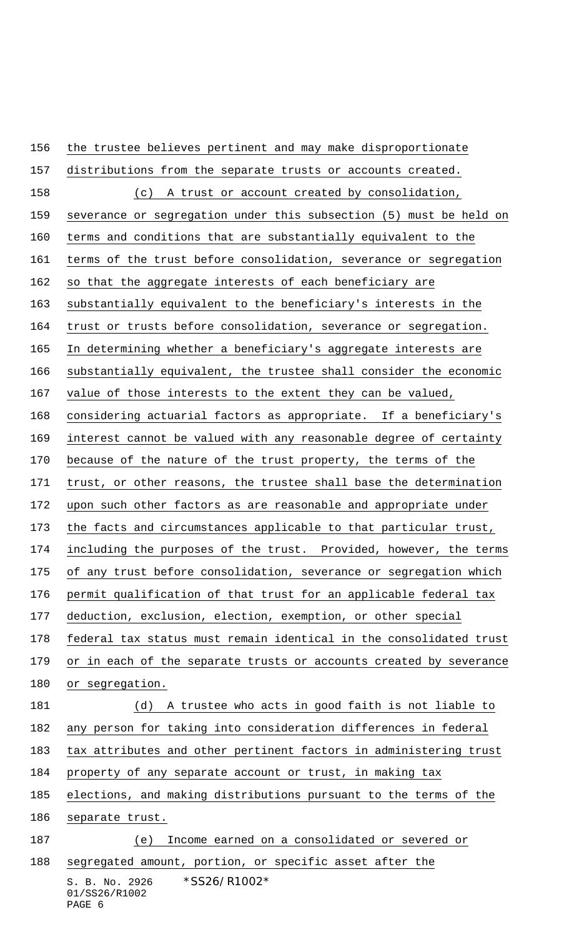S. B. No. 2926 \*SS26/R1002\* 01/SS26/R1002 the trustee believes pertinent and may make disproportionate distributions from the separate trusts or accounts created. (c) A trust or account created by consolidation, severance or segregation under this subsection (5) must be held on terms and conditions that are substantially equivalent to the terms of the trust before consolidation, severance or segregation so that the aggregate interests of each beneficiary are substantially equivalent to the beneficiary's interests in the trust or trusts before consolidation, severance or segregation. In determining whether a beneficiary's aggregate interests are substantially equivalent, the trustee shall consider the economic value of those interests to the extent they can be valued, considering actuarial factors as appropriate. If a beneficiary's interest cannot be valued with any reasonable degree of certainty 170 because of the nature of the trust property, the terms of the trust, or other reasons, the trustee shall base the determination 172 upon such other factors as are reasonable and appropriate under the facts and circumstances applicable to that particular trust, including the purposes of the trust. Provided, however, the terms of any trust before consolidation, severance or segregation which permit qualification of that trust for an applicable federal tax deduction, exclusion, election, exemption, or other special federal tax status must remain identical in the consolidated trust or in each of the separate trusts or accounts created by severance 180 or segregation. (d) A trustee who acts in good faith is not liable to any person for taking into consideration differences in federal tax attributes and other pertinent factors in administering trust property of any separate account or trust, in making tax elections, and making distributions pursuant to the terms of the separate trust. (e) Income earned on a consolidated or severed or segregated amount, portion, or specific asset after the

## PAGE 6